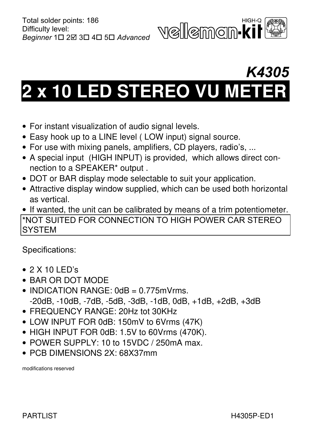

# *K4305* **2 x 10 LED STEREO VU METER**

- For instant visualization of audio signal levels.
- Easy hook up to a LINE level ( LOW input) signal source.
- For use with mixing panels, amplifiers, CD players, radio's, ...
- A special input (HIGH INPUT) is provided, which allows direct connection to a SPEAKER\* output .
- DOT or BAR display mode selectable to suit your application.
- Attractive display window supplied, which can be used both horizontal as vertical.

#### • If wanted, the unit can be calibrated by means of a trim potentiometer. \*NOT SUITED FOR CONNECTION TO HIGH POWER CAR STEREO **SYSTEM**

Specifications:

- $\bullet$  2 X 10 LED's
- BAR OR DOT MODE
- INDICATION RANGE: 0dB = 0.775mVrms. -20dB, -10dB, -7dB, -5dB, -3dB, -1dB, 0dB, +1dB, +2dB, +3dB
- FREQUENCY RANGE: 20Hz tot 30KHz
- LOW INPUT FOR 0dB: 150mV to 6Vrms (47K)
- HIGH INPUT FOR 0dB: 1.5V to 60Vrms (470K).
- POWER SUPPLY: 10 to 15VDC / 250mA max.
- PCB DIMENSIONS 2X: 68X37mm

modifications reserved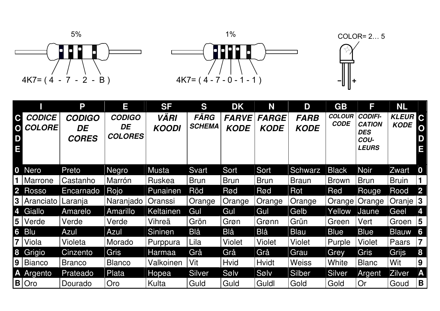

|                                                    |                                | P                                   | Ε                                     | <b>SF</b>                   | S                            | <b>DK</b>                   | N                           | D                          | <b>GB</b>                    | F                                                                     | <b>NL</b>                   |                         |
|----------------------------------------------------|--------------------------------|-------------------------------------|---------------------------------------|-----------------------------|------------------------------|-----------------------------|-----------------------------|----------------------------|------------------------------|-----------------------------------------------------------------------|-----------------------------|-------------------------|
| $ {\bf C} $<br> O <br>$\overline{\mathbf{D}}$<br>E | <b>CODICE</b><br><b>COLORE</b> | <b>CODIGO</b><br>DE<br><b>CORES</b> | <b>CODIGO</b><br>DE<br><b>COLORES</b> | <b>VÄRI</b><br><b>KOODI</b> | <b>FÄRG</b><br><b>SCHEMA</b> | <b>FARVE</b><br><b>KODE</b> | <b>FARGE</b><br><b>KODE</b> | <b>FARB</b><br><b>KODE</b> | <b>COLOUR</b><br><b>CODE</b> | <b>CODIFI-</b><br><b>CATION</b><br><b>DES</b><br>COU-<br><b>LEURS</b> | <b>KLEUR</b><br><b>KODE</b> | Е                       |
|                                                    | 0 Nero                         | Preto                               | Negro                                 | Musta                       | Svart                        | Sort                        | Sort                        | Schwarz                    | <b>Black</b>                 | <b>Noir</b>                                                           | Zwart                       | 0                       |
|                                                    | 1   Marrone                    | Castanho                            | Marrón                                | Ruskea                      | <b>Brun</b>                  | <b>Brun</b>                 | <b>Brun</b>                 | <b>Braun</b>               | <b>Brown</b>                 | Brun                                                                  | <b>Bruin</b>                |                         |
|                                                    | 2 Rosso                        | Encarnado                           | Rojo                                  | Punainen                    | Röd                          | Rød                         | Rød                         | Rot                        | Red                          | Rouge                                                                 | Rood                        | $\vert 2 \vert$         |
|                                                    | 3 Aranciato                    | Laranja                             | Naranjado   Oranssi                   |                             | Orange                       | Orange                      | Orange                      | Orange                     |                              | Orange   Orange                                                       | Oranje   3                  |                         |
|                                                    | 4 Giallo                       | Amarelo                             | Amarillo                              | Keltainen                   | Gul                          | Gul                         | Gul                         | Gelb                       | Yellow                       | Jaune                                                                 | Geel                        | 4                       |
|                                                    | 5 Verde                        | Verde                               | Verde                                 | Vihreä                      | Grön                         | Grøn                        | Grønn                       | Grün                       | Green                        | Vert                                                                  | Groen                       | $\overline{\mathbf{5}}$ |
|                                                    | 6 Blu                          | Azul                                | Azul                                  | Sininen                     | Blå                          | Blå                         | Blå                         | Blau                       | <b>Blue</b>                  | <b>Blue</b>                                                           | <b>Blauw</b>                | 6                       |
|                                                    | <b>7</b> Viola                 | Violeta                             | Morado                                | Purppura                    | Lila                         | <b>Violet</b>               | <b>Violet</b>               | <b>Violet</b>              | Purple                       | <b>Violet</b>                                                         | Paars                       | $\overline{7}$          |
|                                                    | <b>8 Grigio</b>                | Cinzento                            | Gris                                  | Harmaa                      | Grå                          | Grå                         | Grå                         | Grau                       | Grey                         | Gris                                                                  | Grijs                       | 8                       |
|                                                    | 9 Bianco                       | <b>Branco</b>                       | <b>Blanco</b>                         | Valkoinen                   | Vit                          | <b>Hvid</b>                 | <b>Hvidt</b>                | <b>Weiss</b>               | White                        | <b>Blanc</b>                                                          | Wit                         | 9                       |
|                                                    | <b>A</b> Argento               | Prateado                            | Plata                                 | <b>Hopea</b>                | <b>Silver</b>                | Sølv                        | Sølv                        | Silber                     | <b>Silver</b>                | Argent                                                                | Zilver                      | A                       |
|                                                    | $B$ Oro                        | Dourado                             | Oro                                   | Kulta                       | Guld                         | Guld                        | Guldl                       | Gold                       | Gold                         | Or                                                                    | Goud                        | B                       |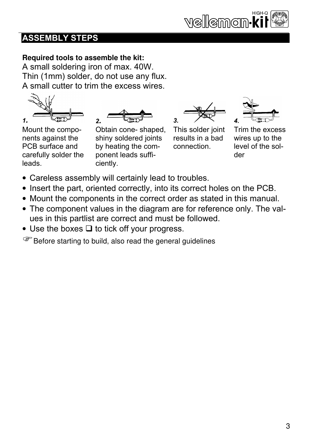

## **ASSEMBLY STEPS**

#### **Required tools to assemble the kit:**

A small soldering iron of max. 40W. Thin (1mm) solder, do not use any flux. A small cutter to trim the excess wires.









Mount the components against the PCB surface and carefully solder the leads.

Obtain cone- shaped, shiny soldered joints by heating the component leads sufficiently.

This solder joint results in a bad connection.

Trim the excess wires up to the level of the solder

- Careless assembly will certainly lead to troubles.
- Insert the part, oriented correctly, into its correct holes on the PCB.
- Mount the components in the correct order as stated in this manual.
- The component values in the diagram are for reference only. The values in this partlist are correct and must be followed.
- Use the boxes  $\Box$  to tick off your progress.

 $\mathbb{G}^*$  Before starting to build, also read the general guidelines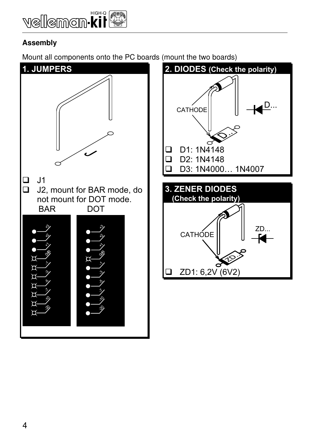

#### **Assembly**

Mount all components onto the PC boards (mount the two boards)

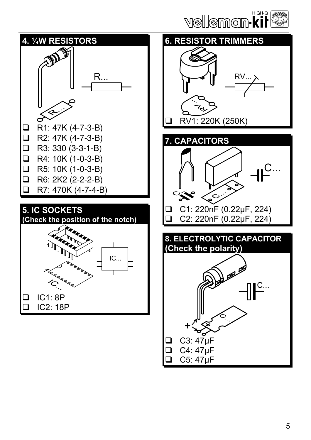

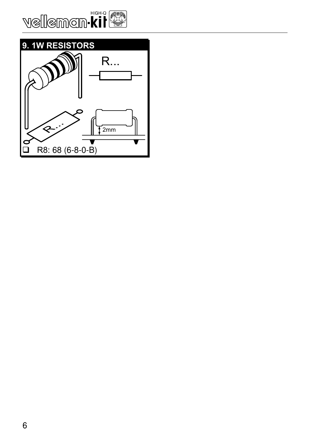

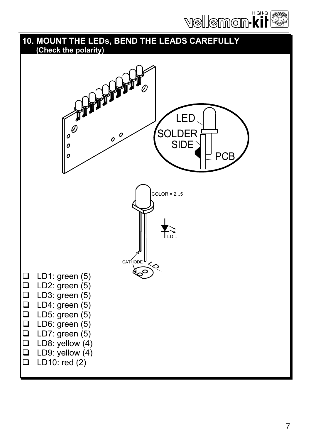

### **10. MOUNT THE LEDs, BEND THE LEADS CAREFULLY (Check the polarity)**

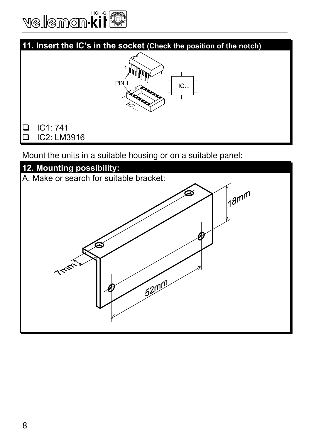



Mount the units in a suitable housing or on a suitable panel:

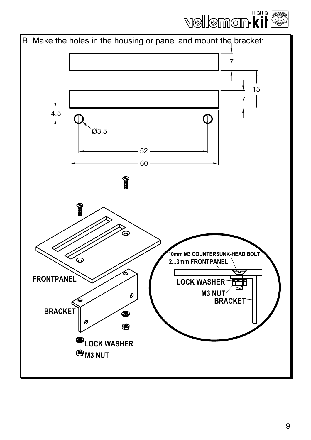

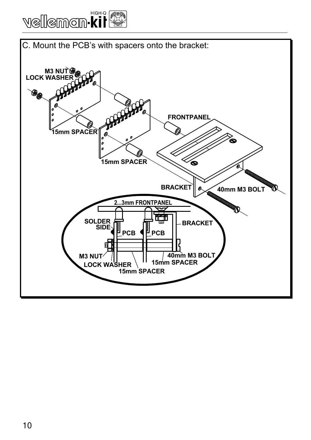

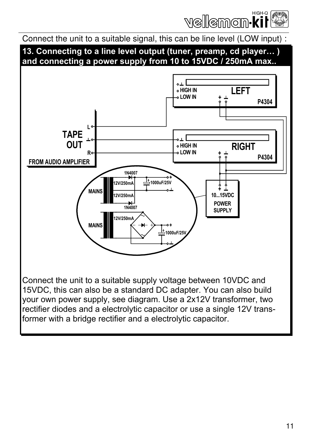

Connect the unit to a suitable signal, this can be line level (LOW input) :

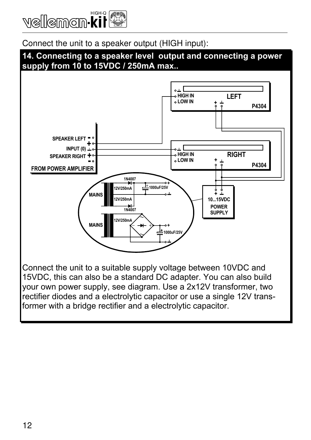

Connect the unit to a speaker output (HIGH input):





Connect the unit to a suitable supply voltage between 10VDC and 15VDC, this can also be a standard DC adapter. You can also build your own power supply, see diagram. Use a 2x12V transformer, two rectifier diodes and a electrolytic capacitor or use a single 12V transformer with a bridge rectifier and a electrolytic capacitor.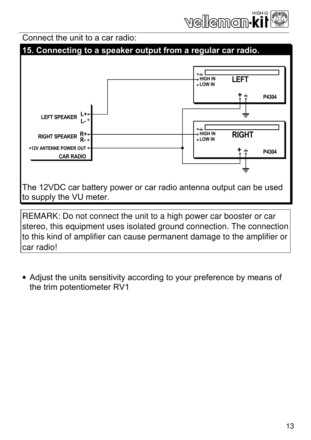

#### Connect the unit to a car radio:



REMARK: Do not connect the unit to a high power car booster or car stereo, this equipment uses isolated ground connection. The connection to this kind of amplifier can cause permanent damage to the amplifier or car radio!

• Adjust the units sensitivity according to your preference by means of the trim potentiometer RV1